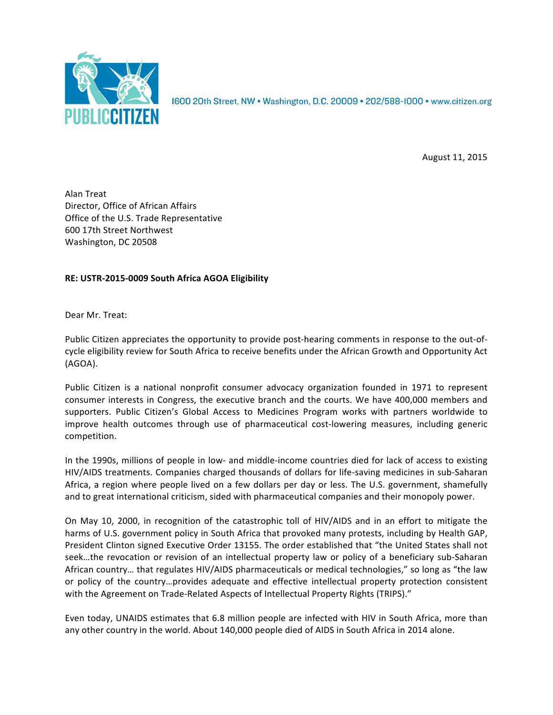

1600 20th Street, NW · Washington, D.C. 20009 · 202/588-1000 · www.citizen.org

August 11, 2015

Alan Treat Director, Office of African Affairs Office of the U.S. Trade Representative 600 17th Street Northwest Washington, DC 20508

## **RE: USTR-2015-0009 South Africa AGOA Eligibility**

Dear Mr. Treat:

Public Citizen appreciates the opportunity to provide post-hearing comments in response to the out-ofcycle eligibility review for South Africa to receive benefits under the African Growth and Opportunity Act (AGOA).

Public Citizen is a national nonprofit consumer advocacy organization founded in 1971 to represent consumer interests in Congress, the executive branch and the courts. We have 400,000 members and supporters. Public Citizen's Global Access to Medicines Program works with partners worldwide to improve health outcomes through use of pharmaceutical cost-lowering measures, including generic competition.

In the 1990s, millions of people in low- and middle-income countries died for lack of access to existing HIV/AIDS treatments. Companies charged thousands of dollars for life-saving medicines in sub-Saharan Africa, a region where people lived on a few dollars per day or less. The U.S. government, shamefully and to great international criticism, sided with pharmaceutical companies and their monopoly power.

On May 10, 2000, in recognition of the catastrophic toll of HIV/AIDS and in an effort to mitigate the harms of U.S. government policy in South Africa that provoked many protests, including by Health GAP, President Clinton signed Executive Order 13155. The order established that "the United States shall not seek...the revocation or revision of an intellectual property law or policy of a beneficiary sub-Saharan African country... that regulates HIV/AIDS pharmaceuticals or medical technologies," so long as "the law or policy of the country…provides adequate and effective intellectual property protection consistent with the Agreement on Trade-Related Aspects of Intellectual Property Rights (TRIPS)."

Even today, UNAIDS estimates that 6.8 million people are infected with HIV in South Africa, more than any other country in the world. About 140,000 people died of AIDS in South Africa in 2014 alone.